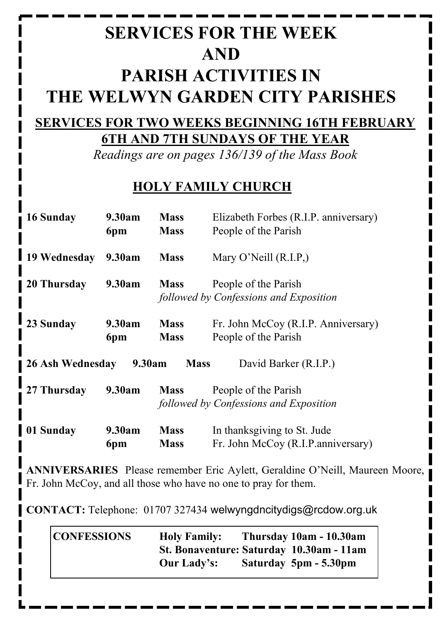# **SERVICES FOR THE WEEK AND PARISH ACTIVITIES IN THE WELWYN GARDEN CITY PARISHES**

#### **SERVICES FOR TWO WEEKS BEGINNING 16TH FEBRUARY 6TH AND 7TH SUNDAYS OF THE YEAR**

*Readings are on pages 136/139 of the Mass Book*

## **HOLY FAMILY CHURCH**

| 16 Sunday                                                          | 9.30am | <b>Mass</b> | Elizabeth Forbes (R.I.P. anniversary)  |
|--------------------------------------------------------------------|--------|-------------|----------------------------------------|
|                                                                    | 6pm    | <b>Mass</b> | People of the Parish                   |
| 19 Wednesday                                                       | 9.30am | <b>Mass</b> | Mary O'Neill $(R.I.P.)$                |
| 20 Thursday                                                        | 9.30am | <b>Mass</b> | People of the Parish                   |
|                                                                    |        |             | followed by Confessions and Exposition |
| 23 Sunday                                                          | 9.30am | <b>Mass</b> | Fr. John McCoy (R.I.P. Anniversary)    |
|                                                                    | 6pm    | <b>Mass</b> | People of the Parish                   |
| 26 Ash Wednesday<br>9.30am<br><b>Mass</b><br>David Barker (R.I.P.) |        |             |                                        |
| 27 Thursday                                                        | 9.30am | <b>Mass</b> | People of the Parish                   |
|                                                                    |        |             | followed by Confessions and Exposition |
| 01 Sunday                                                          | 9.30am | <b>Mass</b> | In thanksgiving to St. Jude            |
|                                                                    | 6pm    | <b>Mass</b> | Fr. John McCoy (R.I.P.anniversary)     |

**ANNIVERSARIES** Please remember Eric Aylett, Geraldine O'Neill, Maureen Moore, Fr. John McCoy, and all those who have no one to pray for them.

**CONTACT:** Telephone: 01707 327434 welwyngdncitydigs@rcdow.org.uk

| <b>CONFESSIONS</b> | <b>Holy Family:</b>                      | Thursday 10am - 10.30am |
|--------------------|------------------------------------------|-------------------------|
|                    | St. Bonaventure: Saturday 10.30am - 11am |                         |
|                    | <b>Our Lady's:</b>                       | Saturday 5pm - 5.30pm   |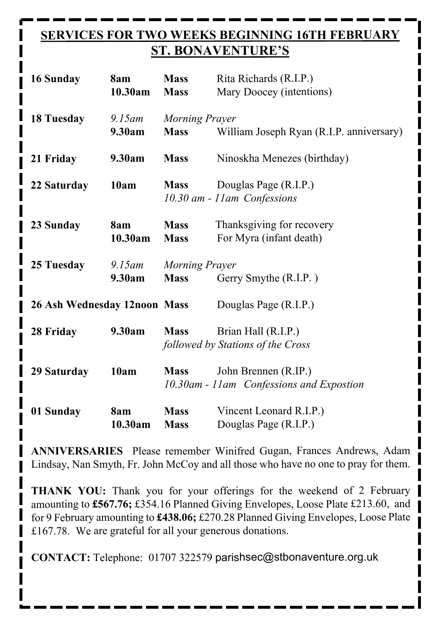## **SERVICES FOR TWO WEEKS BEGINNING 16TH FEBRUARY ST. BONAVENTURE'S**

| 16 Sunday                    | 8am<br>10.30am      | <b>Mass</b><br><b>Mass</b>           | Rita Richards (R.I.P.)<br>Mary Doocey (intentions)               |
|------------------------------|---------------------|--------------------------------------|------------------------------------------------------------------|
| <b>18 Tuesday</b>            | $9.15$ am<br>9.30am | <b>Morning Prayer</b><br><b>Mass</b> | William Joseph Ryan (R.I.P. anniversary)                         |
| 21 Friday                    | 9.30am              | <b>Mass</b>                          | Ninoskha Menezes (birthday)                                      |
| 22 Saturday                  | 10am                | <b>Mass</b>                          | Douglas Page (R.I.P.)<br>10.30 am - 11 am Confessions            |
| 23 Sunday                    | 8am<br>10.30am      | <b>Mass</b><br><b>Mass</b>           | Thanksgiving for recovery<br>For Myra (infant death)             |
| 25 Tuesday                   | $9.15$ am<br>9.30am | Morning Prayer<br><b>Mass</b>        | Gerry Smythe (R.I.P.)                                            |
| 26 Ash Wednesday 12noon Mass |                     |                                      | Douglas Page (R.I.P.)                                            |
| 28 Friday                    | 9.30am              | <b>Mass</b>                          | Brian Hall (R.I.P.)<br>followed by Stations of the Cross         |
| 29 Saturday                  | 10am                | <b>Mass</b>                          | John Brennen (R.IP.)<br>10.30am - 11am Confessions and Expostion |
| 01 Sunday                    | 8am<br>10.30am      | <b>Mass</b><br><b>Mass</b>           | Vincent Leonard R.I.P.)<br>Douglas Page (R.I.P.)                 |

**ANNIVERSARIES** Please remember Winifred Gugan, Frances Andrews, Adam Lindsay, Nan Smyth, Fr. John McCoy and all those who have no one to pray for them.

THANK YOU: Thank you for your offerings for the weekend of 2 February | amounting to **£567.76;** £354.16 Planned Giving Envelopes, Loose Plate £213.60, and for 9 February amounting to **£438.06;** £270.28 Planned Giving Envelopes, Loose Plate £167.78. We are grateful for all your generous donations.

**CONTACT:** Telephone: 01707 322579 parishsec@stbonaventure.org.uk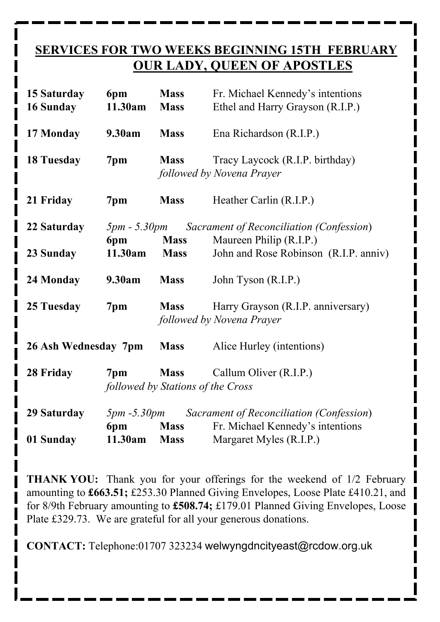#### **SERVICES FOR TWO WEEKS BEGINNING 15TH FEBRUARY OUR LADY, QUEEN OF APOSTLES**

| 15 Saturday<br>16 Sunday | 6pm<br>11.30am        | <b>Mass</b><br><b>Mass</b>                       | Fr. Michael Kennedy's intentions<br>Ethel and Harry Grayson (R.I.P.) |
|--------------------------|-----------------------|--------------------------------------------------|----------------------------------------------------------------------|
| 17 Monday                | 9.30am                | <b>Mass</b>                                      | Ena Richardson (R.I.P.)                                              |
| <b>18 Tuesday</b>        | 7pm                   | <b>Mass</b>                                      | Tracy Laycock (R.I.P. birthday)<br>followed by Novena Prayer         |
| 21 Friday                | 7pm                   | <b>Mass</b>                                      | Heather Carlin (R.I.P.)                                              |
| 22 Saturday              | $5pm - 5.30pm$<br>6pm | <b>Mass</b>                                      | Sacrament of Reconciliation (Confession)<br>Maureen Philip (R.I.P.)  |
| 23 Sunday                | 11.30am               | <b>Mass</b>                                      | John and Rose Robinson (R.I.P. anniv)                                |
| 24 Monday                | 9.30am                | <b>Mass</b>                                      | John Tyson (R.I.P.)                                                  |
| 25 Tuesday               | 7pm                   | <b>Mass</b>                                      | Harry Grayson (R.I.P. anniversary)<br>followed by Novena Prayer      |
| 26 Ash Wednesday 7pm     |                       | <b>Mass</b>                                      | Alice Hurley (intentions)                                            |
| 28 Friday                | 7pm                   | <b>Mass</b><br>followed by Stations of the Cross | Callum Oliver (R.I.P.)                                               |
| 29 Saturday              | $5pm - 5.30pm$        |                                                  | Sacrament of Reconciliation (Confession)                             |
|                          | 6pm                   | <b>Mass</b>                                      | Fr. Michael Kennedy's intentions                                     |
| 01 Sunday                | 11.30am               | <b>Mass</b>                                      | Margaret Myles (R.I.P.)                                              |

**THANK YOU:** Thank you for your offerings for the weekend of 1/2 February amounting to **£663.51;** £253.30 Planned Giving Envelopes, Loose Plate £410.21, and for 8/9th February amounting to **£508.74;** £179.01 Planned Giving Envelopes, Loose Plate £329.73. We are grateful for all your generous donations.

**CONTACT:** Telephone:01707 323234 welwyngdncityeast@rcdow.org.uk